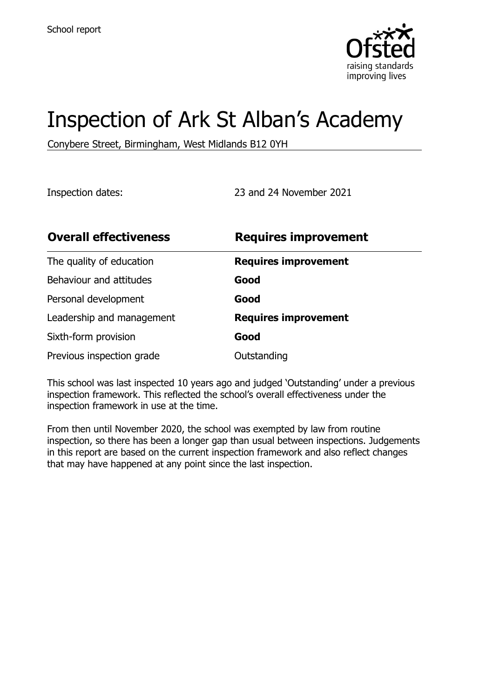

# Inspection of Ark St Alban's Academy

Conybere Street, Birmingham, West Midlands B12 0YH

Inspection dates: 23 and 24 November 2021

| <b>Overall effectiveness</b> | <b>Requires improvement</b> |
|------------------------------|-----------------------------|
| The quality of education     | <b>Requires improvement</b> |
| Behaviour and attitudes      | Good                        |
| Personal development         | Good                        |
| Leadership and management    | <b>Requires improvement</b> |
| Sixth-form provision         | Good                        |
| Previous inspection grade    | Outstanding                 |

This school was last inspected 10 years ago and judged 'Outstanding' under a previous inspection framework. This reflected the school's overall effectiveness under the inspection framework in use at the time.

From then until November 2020, the school was exempted by law from routine inspection, so there has been a longer gap than usual between inspections. Judgements in this report are based on the current inspection framework and also reflect changes that may have happened at any point since the last inspection.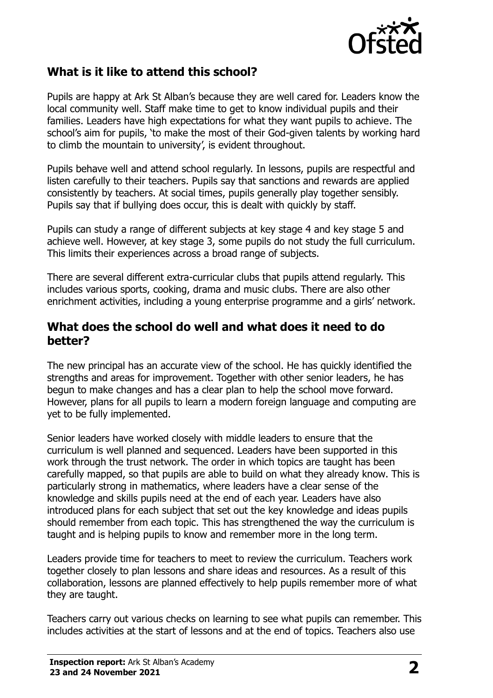

## **What is it like to attend this school?**

Pupils are happy at Ark St Alban's because they are well cared for. Leaders know the local community well. Staff make time to get to know individual pupils and their families. Leaders have high expectations for what they want pupils to achieve. The school's aim for pupils, 'to make the most of their God-given talents by working hard to climb the mountain to university', is evident throughout.

Pupils behave well and attend school regularly. In lessons, pupils are respectful and listen carefully to their teachers. Pupils say that sanctions and rewards are applied consistently by teachers. At social times, pupils generally play together sensibly. Pupils say that if bullying does occur, this is dealt with quickly by staff.

Pupils can study a range of different subjects at key stage 4 and key stage 5 and achieve well. However, at key stage 3, some pupils do not study the full curriculum. This limits their experiences across a broad range of subjects.

There are several different extra-curricular clubs that pupils attend regularly. This includes various sports, cooking, drama and music clubs. There are also other enrichment activities, including a young enterprise programme and a girls' network.

#### **What does the school do well and what does it need to do better?**

The new principal has an accurate view of the school. He has quickly identified the strengths and areas for improvement. Together with other senior leaders, he has begun to make changes and has a clear plan to help the school move forward. However, plans for all pupils to learn a modern foreign language and computing are yet to be fully implemented.

Senior leaders have worked closely with middle leaders to ensure that the curriculum is well planned and sequenced. Leaders have been supported in this work through the trust network. The order in which topics are taught has been carefully mapped, so that pupils are able to build on what they already know. This is particularly strong in mathematics, where leaders have a clear sense of the knowledge and skills pupils need at the end of each year. Leaders have also introduced plans for each subject that set out the key knowledge and ideas pupils should remember from each topic. This has strengthened the way the curriculum is taught and is helping pupils to know and remember more in the long term.

Leaders provide time for teachers to meet to review the curriculum. Teachers work together closely to plan lessons and share ideas and resources. As a result of this collaboration, lessons are planned effectively to help pupils remember more of what they are taught.

Teachers carry out various checks on learning to see what pupils can remember. This includes activities at the start of lessons and at the end of topics. Teachers also use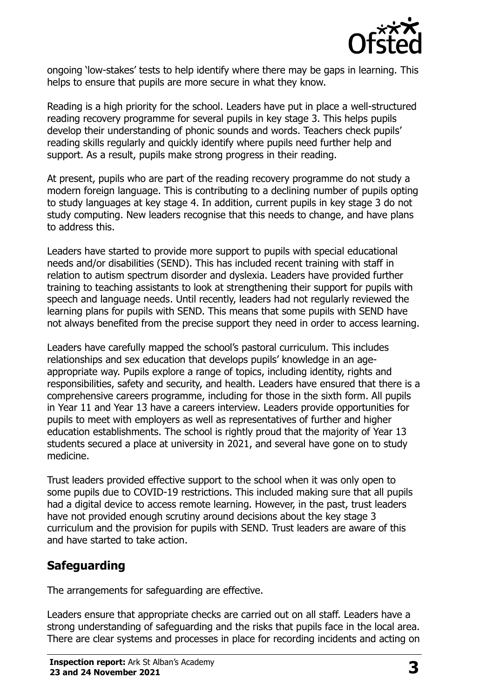

ongoing 'low-stakes' tests to help identify where there may be gaps in learning. This helps to ensure that pupils are more secure in what they know.

Reading is a high priority for the school. Leaders have put in place a well-structured reading recovery programme for several pupils in key stage 3. This helps pupils develop their understanding of phonic sounds and words. Teachers check pupils' reading skills regularly and quickly identify where pupils need further help and support. As a result, pupils make strong progress in their reading.

At present, pupils who are part of the reading recovery programme do not study a modern foreign language. This is contributing to a declining number of pupils opting to study languages at key stage 4. In addition, current pupils in key stage 3 do not study computing. New leaders recognise that this needs to change, and have plans to address this.

Leaders have started to provide more support to pupils with special educational needs and/or disabilities (SEND). This has included recent training with staff in relation to autism spectrum disorder and dyslexia. Leaders have provided further training to teaching assistants to look at strengthening their support for pupils with speech and language needs. Until recently, leaders had not regularly reviewed the learning plans for pupils with SEND. This means that some pupils with SEND have not always benefited from the precise support they need in order to access learning.

Leaders have carefully mapped the school's pastoral curriculum. This includes relationships and sex education that develops pupils' knowledge in an ageappropriate way. Pupils explore a range of topics, including identity, rights and responsibilities, safety and security, and health. Leaders have ensured that there is a comprehensive careers programme, including for those in the sixth form. All pupils in Year 11 and Year 13 have a careers interview. Leaders provide opportunities for pupils to meet with employers as well as representatives of further and higher education establishments. The school is rightly proud that the majority of Year 13 students secured a place at university in 2021, and several have gone on to study medicine.

Trust leaders provided effective support to the school when it was only open to some pupils due to COVID-19 restrictions. This included making sure that all pupils had a digital device to access remote learning. However, in the past, trust leaders have not provided enough scrutiny around decisions about the key stage 3 curriculum and the provision for pupils with SEND. Trust leaders are aware of this and have started to take action.

# **Safeguarding**

The arrangements for safeguarding are effective.

Leaders ensure that appropriate checks are carried out on all staff. Leaders have a strong understanding of safeguarding and the risks that pupils face in the local area. There are clear systems and processes in place for recording incidents and acting on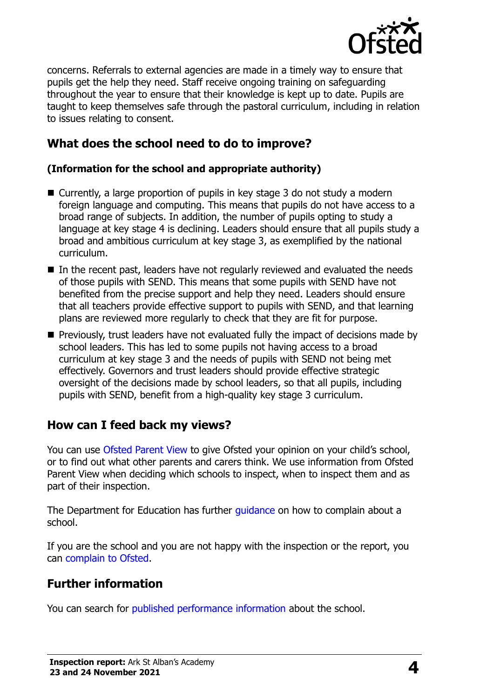

concerns. Referrals to external agencies are made in a timely way to ensure that pupils get the help they need. Staff receive ongoing training on safeguarding throughout the year to ensure that their knowledge is kept up to date. Pupils are taught to keep themselves safe through the pastoral curriculum, including in relation to issues relating to consent.

# **What does the school need to do to improve?**

#### **(Information for the school and appropriate authority)**

- Currently, a large proportion of pupils in key stage 3 do not study a modern foreign language and computing. This means that pupils do not have access to a broad range of subjects. In addition, the number of pupils opting to study a language at key stage 4 is declining. Leaders should ensure that all pupils study a broad and ambitious curriculum at key stage 3, as exemplified by the national curriculum.
- In the recent past, leaders have not regularly reviewed and evaluated the needs of those pupils with SEND. This means that some pupils with SEND have not benefited from the precise support and help they need. Leaders should ensure that all teachers provide effective support to pupils with SEND, and that learning plans are reviewed more regularly to check that they are fit for purpose.
- **Previously, trust leaders have not evaluated fully the impact of decisions made by** school leaders. This has led to some pupils not having access to a broad curriculum at key stage 3 and the needs of pupils with SEND not being met effectively. Governors and trust leaders should provide effective strategic oversight of the decisions made by school leaders, so that all pupils, including pupils with SEND, benefit from a high-quality key stage 3 curriculum.

## **How can I feed back my views?**

You can use [Ofsted Parent View](http://parentview.ofsted.gov.uk/) to give Ofsted your opinion on your child's school, or to find out what other parents and carers think. We use information from Ofsted Parent View when deciding which schools to inspect, when to inspect them and as part of their inspection.

The Department for Education has further [guidance](http://www.gov.uk/complain-about-school) on how to complain about a school.

If you are the school and you are not happy with the inspection or the report, you can [complain to Ofsted.](http://www.gov.uk/complain-ofsted-report)

## **Further information**

You can search for [published performance information](http://www.compare-school-performance.service.gov.uk/) about the school.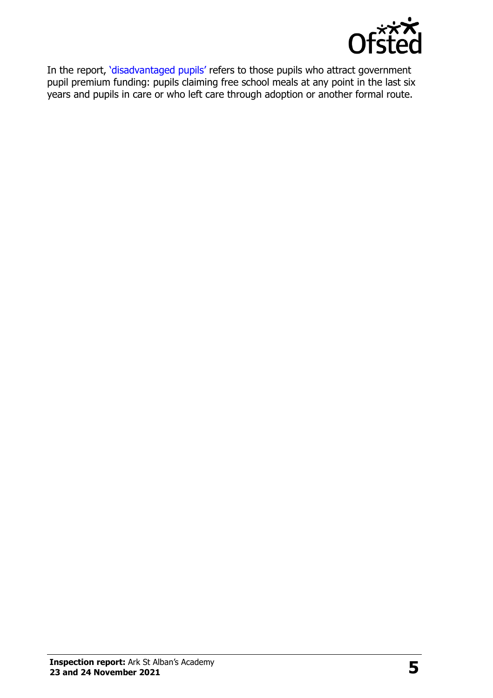

In the report, '[disadvantaged pupils](http://www.gov.uk/guidance/pupil-premium-information-for-schools-and-alternative-provision-settings)' refers to those pupils who attract government pupil premium funding: pupils claiming free school meals at any point in the last six years and pupils in care or who left care through adoption or another formal route.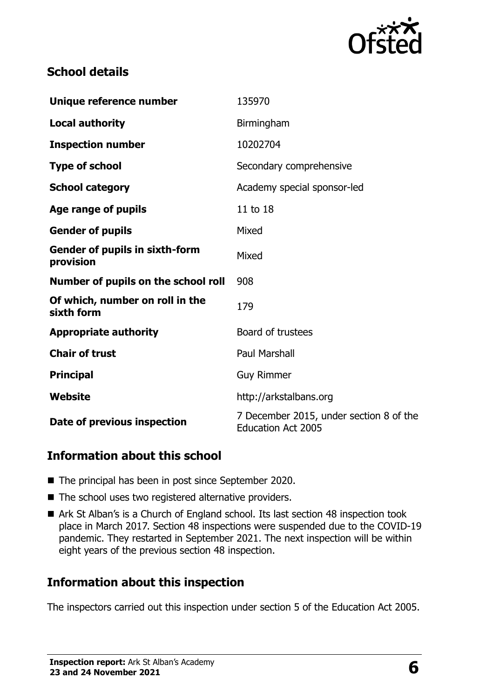

# **School details**

| Unique reference number                            | 135970                                                               |
|----------------------------------------------------|----------------------------------------------------------------------|
| <b>Local authority</b>                             | Birmingham                                                           |
| <b>Inspection number</b>                           | 10202704                                                             |
| <b>Type of school</b>                              | Secondary comprehensive                                              |
| <b>School category</b>                             | Academy special sponsor-led                                          |
| Age range of pupils                                | 11 to 18                                                             |
| <b>Gender of pupils</b>                            | Mixed                                                                |
| <b>Gender of pupils in sixth-form</b><br>provision | Mixed                                                                |
| Number of pupils on the school roll                | 908                                                                  |
| Of which, number on roll in the<br>sixth form      | 179                                                                  |
| <b>Appropriate authority</b>                       | Board of trustees                                                    |
| <b>Chair of trust</b>                              | <b>Paul Marshall</b>                                                 |
| <b>Principal</b>                                   | <b>Guy Rimmer</b>                                                    |
| Website                                            | http://arkstalbans.org                                               |
| Date of previous inspection                        | 7 December 2015, under section 8 of the<br><b>Education Act 2005</b> |

## **Information about this school**

- The principal has been in post since September 2020.
- The school uses two registered alternative providers.
- Ark St Alban's is a Church of England school. Its last section 48 inspection took place in March 2017. Section 48 inspections were suspended due to the COVID-19 pandemic. They restarted in September 2021. The next inspection will be within eight years of the previous section 48 inspection.

# **Information about this inspection**

The inspectors carried out this inspection under section 5 of the Education Act 2005.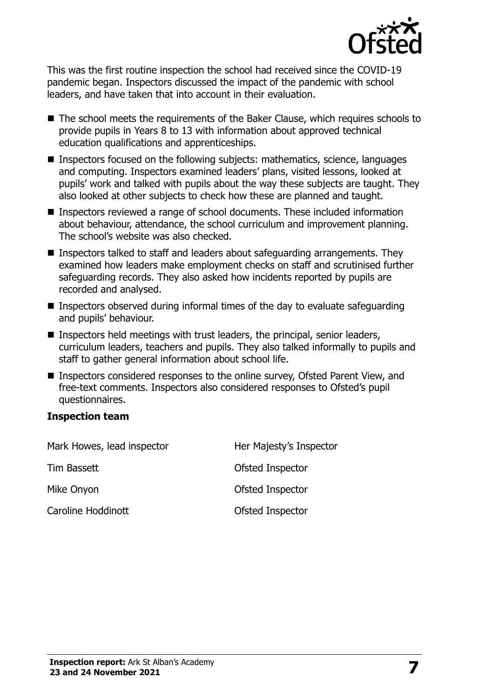

This was the first routine inspection the school had received since the COVID-19 pandemic began. Inspectors discussed the impact of the pandemic with school leaders, and have taken that into account in their evaluation.

- The school meets the requirements of the Baker Clause, which requires schools to provide pupils in Years 8 to 13 with information about approved technical education qualifications and apprenticeships.
- Inspectors focused on the following subjects: mathematics, science, languages and computing. Inspectors examined leaders' plans, visited lessons, looked at pupils' work and talked with pupils about the way these subjects are taught. They also looked at other subjects to check how these are planned and taught.
- Inspectors reviewed a range of school documents. These included information about behaviour, attendance, the school curriculum and improvement planning. The school's website was also checked.
- Inspectors talked to staff and leaders about safeguarding arrangements. They examined how leaders make employment checks on staff and scrutinised further safeguarding records. They also asked how incidents reported by pupils are recorded and analysed.
- **Inspectors observed during informal times of the day to evaluate safeguarding** and pupils' behaviour.
- **Inspectors held meetings with trust leaders, the principal, senior leaders,** curriculum leaders, teachers and pupils. They also talked informally to pupils and staff to gather general information about school life.
- Inspectors considered responses to the online survey, Ofsted Parent View, and free-text comments. Inspectors also considered responses to Ofsted's pupil questionnaires.

#### **Inspection team**

| Mark Howes, lead inspector | Her Majesty's Inspector |
|----------------------------|-------------------------|
| Tim Bassett                | Ofsted Inspector        |
| Mike Onyon                 | Ofsted Inspector        |
| Caroline Hoddinott         | Ofsted Inspector        |